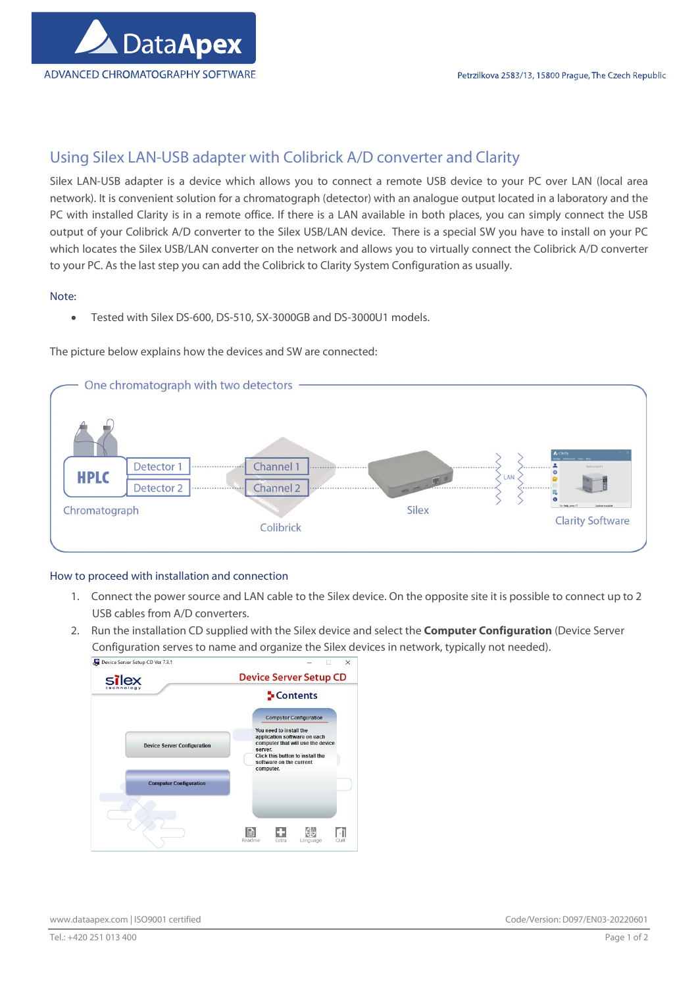

## Using Silex LAN-USB adapter with Colibrick A/D converter and Clarity

Silex LAN-USB adapter is a device which allows you to connect a remote USB device to your PC over LAN (local area network). It is convenient solution for a chromatograph (detector) with an analogue output located in a laboratory and the PC with installed Clarity is in a remote office. If there is a LAN available in both places, you can simply connect the USB output of your Colibrick A/D converter to the Silex USB/LAN device. There is a special SW you have to install on your PC which locates the Silex USB/LAN converter on the network and allows you to virtually connect the Colibrick A/D converter to your PC. As the last step you can add the Colibrick to Clarity System Configuration as usually.

## Note:

Tested with Silex DS-600, DS-510, SX-3000GB and DS-3000U1 models.

The picture below explains how the devices and SW are connected:



## How to proceed with installation and connection

- 1. Connect the power source and LAN cable to the Silex device. On the opposite site it is possible to connect up to 2 USB cables from A/D converters.
- 2. Run the installation CD supplied with the Silex device and select the **Computer Configuration** (Device Server Configuration serves to name and organize the Silex devices in network, typically not needed).